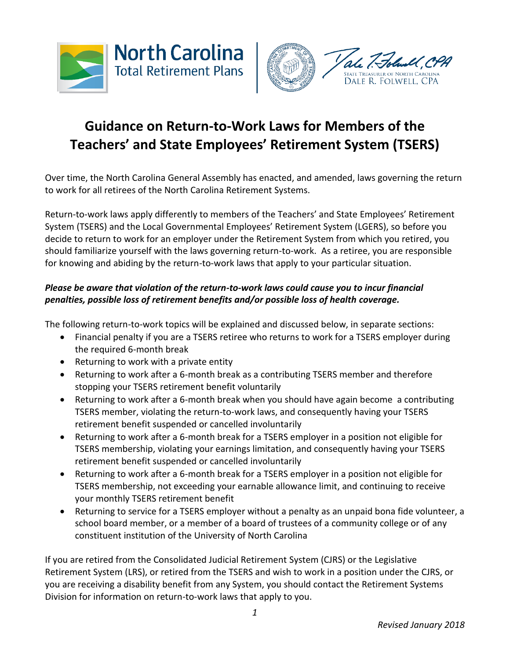



# **Guidance on Return-to-Work Laws for Members of the Teachers' and State Employees' Retirement System (TSERS)**

Over time, the North Carolina General Assembly has enacted, and amended, laws governing the return to work for all retirees of the North Carolina Retirement Systems.

Return-to-work laws apply differently to members of the Teachers' and State Employees' Retirement System (TSERS) and the Local Governmental Employees' Retirement System (LGERS), so before you decide to return to work for an employer under the Retirement System from which you retired, you should familiarize yourself with the laws governing return-to-work. As a retiree, you are responsible for knowing and abiding by the return-to-work laws that apply to your particular situation.

#### *Please be aware that violation of the return-to-work laws could cause you to incur financial penalties, possible loss of retirement benefits and/or possible loss of health coverage.*

The following return-to-work topics will be explained and discussed below, in separate sections:

- Financial penalty if you are a TSERS retiree who returns to work for a TSERS employer during the required 6-month break
- Returning to work with a private entity
- Returning to work after a 6-month break as a contributing TSERS member and therefore stopping your TSERS retirement benefit voluntarily
- Returning to work after a 6-month break when you should have again become a contributing TSERS member, violating the return-to-work laws, and consequently having your TSERS retirement benefit suspended or cancelled involuntarily
- Returning to work after a 6-month break for a TSERS employer in a position not eligible for TSERS membership, violating your earnings limitation, and consequently having your TSERS retirement benefit suspended or cancelled involuntarily
- Returning to work after a 6-month break for a TSERS employer in a position not eligible for TSERS membership, not exceeding your earnable allowance limit, and continuing to receive your monthly TSERS retirement benefit
- Returning to service for a TSERS employer without a penalty as an unpaid bona fide volunteer, a school board member, or a member of a board of trustees of a community college or of any constituent institution of the University of North Carolina

If you are retired from the Consolidated Judicial Retirement System (CJRS) or the Legislative Retirement System (LRS), or retired from the TSERS and wish to work in a position under the CJRS, or you are receiving a disability benefit from any System, you should contact the Retirement Systems Division for information on return-to-work laws that apply to you.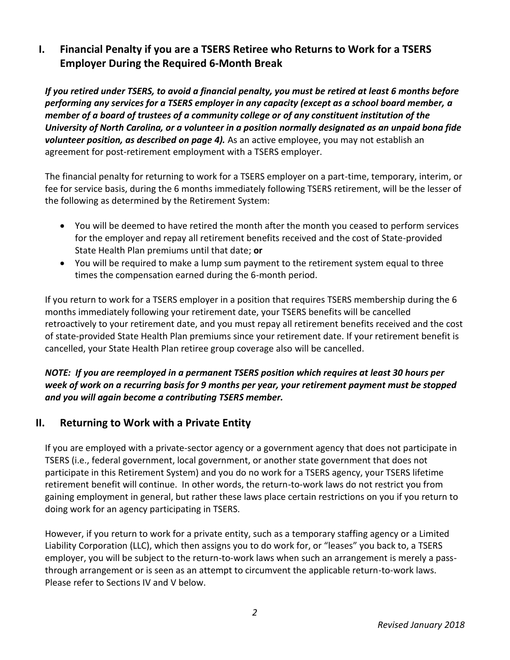### **I. Financial Penalty if you are a TSERS Retiree who Returns to Work for a TSERS Employer During the Required 6-Month Break**

*If you retired under TSERS, to avoid a financial penalty, you must be retired at least 6 months before performing any services for a TSERS employer in any capacity (except as a school board member, a member of a board of trustees of a community college or of any constituent institution of the University of North Carolina, or a volunteer in a position normally designated as an unpaid bona fide volunteer position, as described on page 4).* As an active employee, you may not establish an agreement for post-retirement employment with a TSERS employer.

The financial penalty for returning to work for a TSERS employer on a part-time, temporary, interim, or fee for service basis, during the 6 months immediately following TSERS retirement, will be the lesser of the following as determined by the Retirement System:

- You will be deemed to have retired the month after the month you ceased to perform services for the employer and repay all retirement benefits received and the cost of State-provided State Health Plan premiums until that date; **or**
- You will be required to make a lump sum payment to the retirement system equal to three times the compensation earned during the 6-month period.

If you return to work for a TSERS employer in a position that requires TSERS membership during the 6 months immediately following your retirement date, your TSERS benefits will be cancelled retroactively to your retirement date, and you must repay all retirement benefits received and the cost of state-provided State Health Plan premiums since your retirement date. If your retirement benefit is cancelled, your State Health Plan retiree group coverage also will be cancelled.

#### *NOTE: If you are reemployed in a permanent TSERS position which requires at least 30 hours per week of work on a recurring basis for 9 months per year, your retirement payment must be stopped and you will again become a contributing TSERS member.*

### **II. Returning to Work with a Private Entity**

If you are employed with a private-sector agency or a government agency that does not participate in TSERS (i.e., federal government, local government, or another state government that does not participate in this Retirement System) and you do no work for a TSERS agency, your TSERS lifetime retirement benefit will continue. In other words, the return-to-work laws do not restrict you from gaining employment in general, but rather these laws place certain restrictions on you if you return to doing work for an agency participating in TSERS.

However, if you return to work for a private entity, such as a temporary staffing agency or a Limited Liability Corporation (LLC), which then assigns you to do work for, or "leases" you back to, a TSERS employer, you will be subject to the return-to-work laws when such an arrangement is merely a passthrough arrangement or is seen as an attempt to circumvent the applicable return-to-work laws. Please refer to Sections IV and V below.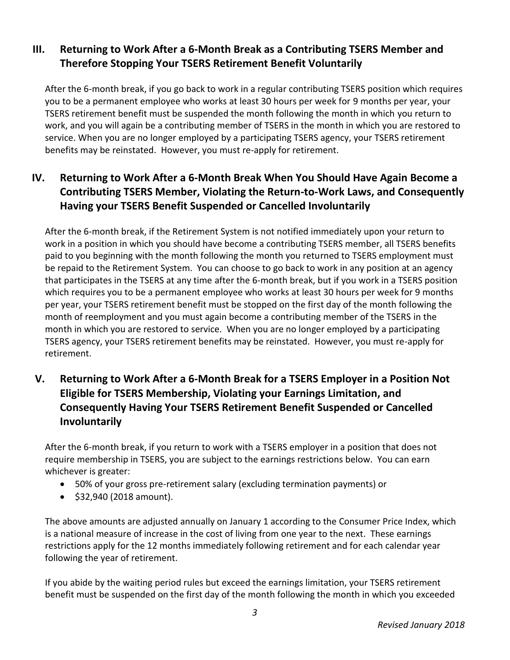## **III. Returning to Work After a 6-Month Break as a Contributing TSERS Member and Therefore Stopping Your TSERS Retirement Benefit Voluntarily**

After the 6-month break, if you go back to work in a regular contributing TSERS position which requires you to be a permanent employee who works at least 30 hours per week for 9 months per year, your TSERS retirement benefit must be suspended the month following the month in which you return to work, and you will again be a contributing member of TSERS in the month in which you are restored to service. When you are no longer employed by a participating TSERS agency, your TSERS retirement benefits may be reinstated. However, you must re-apply for retirement.

# **IV. Returning to Work After a 6-Month Break When You Should Have Again Become a Contributing TSERS Member, Violating the Return-to-Work Laws, and Consequently Having your TSERS Benefit Suspended or Cancelled Involuntarily**

After the 6-month break, if the Retirement System is not notified immediately upon your return to work in a position in which you should have become a contributing TSERS member, all TSERS benefits paid to you beginning with the month following the month you returned to TSERS employment must be repaid to the Retirement System. You can choose to go back to work in any position at an agency that participates in the TSERS at any time after the 6-month break, but if you work in a TSERS position which requires you to be a permanent employee who works at least 30 hours per week for 9 months per year, your TSERS retirement benefit must be stopped on the first day of the month following the month of reemployment and you must again become a contributing member of the TSERS in the month in which you are restored to service. When you are no longer employed by a participating TSERS agency, your TSERS retirement benefits may be reinstated. However, you must re-apply for retirement.

# **V. Returning to Work After a 6-Month Break for a TSERS Employer in a Position Not Eligible for TSERS Membership, Violating your Earnings Limitation, and Consequently Having Your TSERS Retirement Benefit Suspended or Cancelled Involuntarily**

After the 6-month break, if you return to work with a TSERS employer in a position that does not require membership in TSERS, you are subject to the earnings restrictions below. You can earn whichever is greater:

- 50% of your gross pre-retirement salary (excluding termination payments) or
- $\bullet$  \$32,940 (2018 amount).

The above amounts are adjusted annually on January 1 according to the Consumer Price Index, which is a national measure of increase in the cost of living from one year to the next. These earnings restrictions apply for the 12 months immediately following retirement and for each calendar year following the year of retirement.

If you abide by the waiting period rules but exceed the earnings limitation, your TSERS retirement benefit must be suspended on the first day of the month following the month in which you exceeded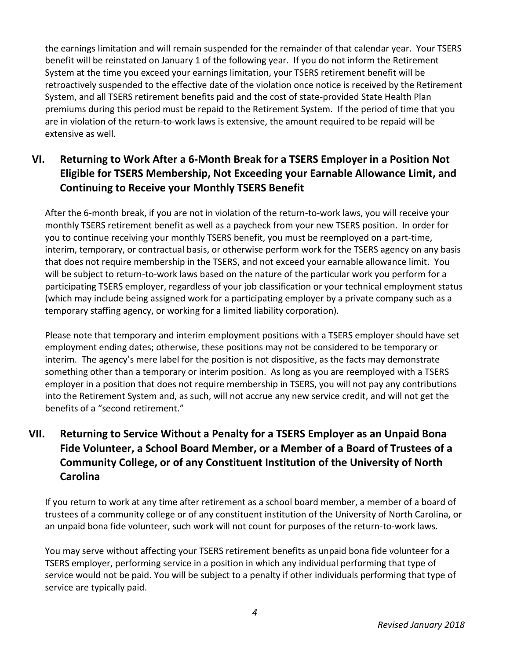the earnings limitation and will remain suspended for the remainder of that calendar year. Your TSERS benefit will be reinstated on January 1 of the following year. If you do not inform the Retirement System at the time you exceed your earnings limitation, your TSERS retirement benefit will be retroactively suspended to the effective date of the violation once notice is received by the Retirement System, and all TSERS retirement benefits paid and the cost of state-provided State Health Plan premiums during this period must be repaid to the Retirement System. If the period of time that you are in violation of the return-to-work laws is extensive, the amount required to be repaid will be extensive as well.

# **VI. Returning to Work After a 6-Month Break for a TSERS Employer in a Position Not Eligible for TSERS Membership, Not Exceeding your Earnable Allowance Limit, and Continuing to Receive your Monthly TSERS Benefit**

After the 6-month break, if you are not in violation of the return-to-work laws, you will receive your monthly TSERS retirement benefit as well as a paycheck from your new TSERS position. In order for you to continue receiving your monthly TSERS benefit, you must be reemployed on a part-time, interim, temporary, or contractual basis, or otherwise perform work for the TSERS agency on any basis that does not require membership in the TSERS, and not exceed your earnable allowance limit. You will be subject to return-to-work laws based on the nature of the particular work you perform for a participating TSERS employer, regardless of your job classification or your technical employment status (which may include being assigned work for a participating employer by a private company such as a temporary staffing agency, or working for a limited liability corporation).

Please note that temporary and interim employment positions with a TSERS employer should have set employment ending dates; otherwise, these positions may not be considered to be temporary or interim. The agency's mere label for the position is not dispositive, as the facts may demonstrate something other than a temporary or interim position. As long as you are reemployed with a TSERS employer in a position that does not require membership in TSERS, you will not pay any contributions into the Retirement System and, as such, will not accrue any new service credit, and will not get the benefits of a "second retirement."

# **VII. Returning to Service Without a Penalty for a TSERS Employer as an Unpaid Bona Fide Volunteer, a School Board Member, or a Member of a Board of Trustees of a Community College, or of any Constituent Institution of the University of North Carolina**

If you return to work at any time after retirement as a school board member, a member of a board of trustees of a community college or of any constituent institution of the University of North Carolina, or an unpaid bona fide volunteer, such work will not count for purposes of the return-to-work laws.

You may serve without affecting your TSERS retirement benefits as unpaid bona fide volunteer for a TSERS employer, performing service in a position in which any individual performing that type of service would not be paid. You will be subject to a penalty if other individuals performing that type of service are typically paid.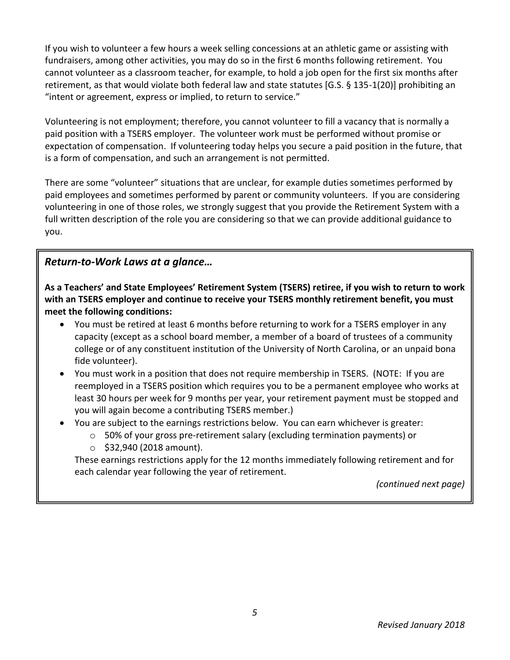If you wish to volunteer a few hours a week selling concessions at an athletic game or assisting with fundraisers, among other activities, you may do so in the first 6 months following retirement. You cannot volunteer as a classroom teacher, for example, to hold a job open for the first six months after retirement, as that would violate both federal law and state statutes [G.S. § 135-1(20)] prohibiting an "intent or agreement, express or implied, to return to service."

Volunteering is not employment; therefore, you cannot volunteer to fill a vacancy that is normally a paid position with a TSERS employer. The volunteer work must be performed without promise or expectation of compensation. If volunteering today helps you secure a paid position in the future, that is a form of compensation, and such an arrangement is not permitted.

There are some "volunteer" situations that are unclear, for example duties sometimes performed by paid employees and sometimes performed by parent or community volunteers. If you are considering volunteering in one of those roles, we strongly suggest that you provide the Retirement System with a full written description of the role you are considering so that we can provide additional guidance to you.

#### *Return-to-Work Laws at a glance…*

**As a Teachers' and State Employees' Retirement System (TSERS) retiree, if you wish to return to work with an TSERS employer and continue to receive your TSERS monthly retirement benefit, you must meet the following conditions:**

- You must be retired at least 6 months before returning to work for a TSERS employer in any capacity (except as a school board member, a member of a board of trustees of a community college or of any constituent institution of the University of North Carolina, or an unpaid bona fide volunteer).
- You must work in a position that does not require membership in TSERS. (NOTE: If you are reemployed in a TSERS position which requires you to be a permanent employee who works at least 30 hours per week for 9 months per year, your retirement payment must be stopped and you will again become a contributing TSERS member.)
- You are subject to the earnings restrictions below. You can earn whichever is greater:
	- o 50% of your gross pre-retirement salary (excluding termination payments) or
	- $\circ$  \$32,940 (2018 amount).

These earnings restrictions apply for the 12 months immediately following retirement and for each calendar year following the year of retirement.

*(continued next page)*